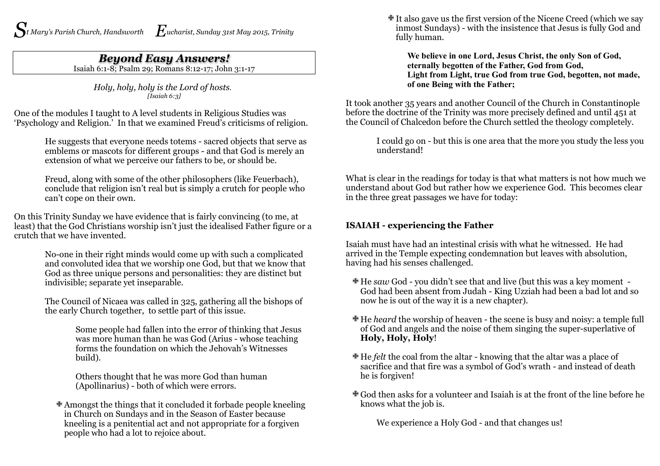## *Beyond Easy Answers!*

Isaiah 6:1-8; Psalm 29; Romans 8:12-17; John 3:1-17

*Holy, holy, holy is the Lord of hosts. [Isaiah 6:3]*

One of the modules I taught to A level students in Religious Studies was 'Psychology and Religion.' In that we examined Freud's criticisms of religion.

> He suggests that everyone needs totems - sacred objects that serve as emblems or mascots for different groups - and that God is merely an extension of what we perceive our fathers to be, or should be.

> Freud, along with some of the other philosophers (like Feuerbach), conclude that religion isn't real but is simply a crutch for people who can't cope on their own.

On this Trinity Sunday we have evidence that is fairly convincing (to me, at least) that the God Christians worship isn't just the idealised Father figure or a crutch that we have invented.

> No-one in their right minds would come up with such a complicated and convoluted idea that we worship one God, but that we know that God as three unique persons and personalities: they are distinct but indivisible; separate yet inseparable.

The Council of Nicaea was called in 325, gathering all the bishops of the early Church together, to settle part of this issue.

> Some people had fallen into the error of thinking that Jesus was more human than he was God (Arius - whose teaching forms the foundation on which the Jehovah's Witnesses build).

Others thought that he was more God than human (Apollinarius) - both of which were errors.

Amongst the things that it concluded it forbade people kneeling in Church on Sundays and in the Season of Easter because kneeling is a penitential act and not appropriate for a forgiven people who had a lot to rejoice about.

It also gave us the first version of the Nicene Creed (which we say inmost Sundays) - with the insistence that Jesus is fully God and fully human.

**We believe in one Lord, Jesus Christ, the only Son of God, eternally begotten of the Father, God from God, Light from Light, true God from true God, begotten, not made, of one Being with the Father;**

It took another 35 years and another Council of the Church in Constantinople before the doctrine of the Trinity was more precisely defined and until 451 at the Council of Chalcedon before the Church settled the theology completely.

> I could go on - but this is one area that the more you study the less you understand!

What is clear in the readings for today is that what matters is not how much we understand about God but rather how we experience God. This becomes clear in the three great passages we have for today:

## **ISAIAH - experiencing the Father**

Isaiah must have had an intestinal crisis with what he witnessed. He had arrived in the Temple expecting condemnation but leaves with absolution, having had his senses challenged.

- He *saw* God you didn't see that and live (but this was a key moment God had been absent from Judah - King Uzziah had been a bad lot and so now he is out of the way it is a new chapter).
- He *heard* the worship of heaven the scene is busy and noisy: a temple full of God and angels and the noise of them singing the super-superlative of **Holy, Holy, Holy**!
- He *felt* the coal from the altar knowing that the altar was a place of sacrifice and that fire was a symbol of God's wrath - and instead of death he is forgiven!
- God then asks for a volunteer and Isaiah is at the front of the line before he knows what the job is.

We experience a Holy God - and that changes us!